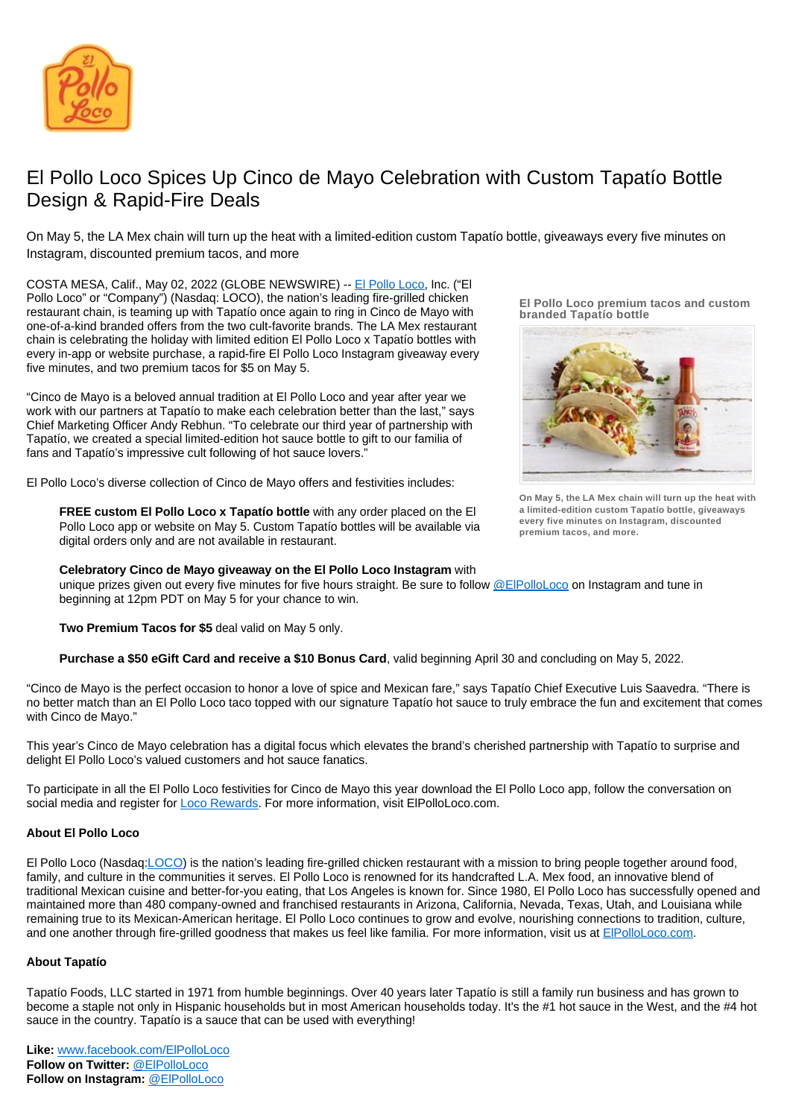

## El Pollo Loco Spices Up Cinco de Mayo Celebration with Custom Tapatío Bottle Design & Rapid-Fire Deals

On May 5, the LA Mex chain will turn up the heat with a limited-edition custom Tapatío bottle, giveaways every five minutes on Instagram, discounted premium tacos, and more

COSTA MESA, Calif., May 02, 2022 (GLOBE NEWSWIRE) -- [El Pollo Loco,](https://www.elpolloloco.com/) Inc. ("El Pollo Loco" or "Company") (Nasdaq: LOCO), the nation's leading fire-grilled chicken restaurant chain, is teaming up with Tapatío once again to ring in Cinco de Mayo with one-of-a-kind branded offers from the two cult-favorite brands. The LA Mex restaurant chain is celebrating the holiday with limited edition El Pollo Loco x Tapatío bottles with every in-app or website purchase, a rapid-fire El Pollo Loco Instagram giveaway every five minutes, and two premium tacos for \$5 on May 5.

"Cinco de Mayo is a beloved annual tradition at El Pollo Loco and year after year we work with our partners at Tapatío to make each celebration better than the last," says Chief Marketing Officer Andy Rebhun. "To celebrate our third year of partnership with Tapatío, we created a special limited-edition hot sauce bottle to gift to our familia of fans and Tapatío's impressive cult following of hot sauce lovers.

El Pollo Loco's diverse collection of Cinco de Mayo offers and festivities includes:

**FREE custom El Pollo Loco x Tapatío bottle** with any order placed on the El Pollo Loco app or website on May 5. Custom Tapatío bottles will be available via digital orders only and are not available in restaurant.

## **Celebratory Cinco de Mayo giveaway on the El Pollo Loco Instagram** with

unique prizes given out every five minutes for five hours straight. Be sure to follow [@ElPolloLoco](https://www.instagram.com/elpolloloco/?hl=en) on Instagram and tune in beginning at 12pm PDT on May 5 for your chance to win.

**Two Premium Tacos for \$5** deal valid on May 5 only.

**Purchase a \$50 eGift Card and receive a \$10 Bonus Card**, valid beginning April 30 and concluding on May 5, 2022.

"Cinco de Mayo is the perfect occasion to honor a love of spice and Mexican fare," says Tapatío Chief Executive Luis Saavedra. "There is no better match than an El Pollo Loco taco topped with our signature Tapatío hot sauce to truly embrace the fun and excitement that comes with Cinco de Mayo."

This year's Cinco de Mayo celebration has a digital focus which elevates the brand's cherished partnership with Tapatío to surprise and delight El Pollo Loco's valued customers and hot sauce fanatics.

To participate in all the El Pollo Loco festivities for Cinco de Mayo this year download the El Pollo Loco app, follow the conversation on social media and register for **Loco Rewards**. For more information, visit ElPolloLoco.com.

## **About El Pollo Loco**

El Pollo Loco (Nasdaq[:LOCO\)](https://www.globenewswire.com/Search?runSearchId=46996667) is the nation's leading fire-grilled chicken restaurant with a mission to bring people together around food, family, and culture in the communities it serves. El Pollo Loco is renowned for its handcrafted L.A. Mex food, an innovative blend of traditional Mexican cuisine and better-for-you eating, that Los Angeles is known for. Since 1980, El Pollo Loco has successfully opened and maintained more than 480 company-owned and franchised restaurants in Arizona, California, Nevada, Texas, Utah, and Louisiana while remaining true to its Mexican-American heritage. El Pollo Loco continues to grow and evolve, nourishing connections to tradition, culture, and one another through fire-grilled goodness that makes us feel like familia. For more information, visit us at [ElPolloLoco.com.](http://www.elpolloloco.com/)

## **About Tapatío**

Tapatío Foods, LLC started in 1971 from humble beginnings. Over 40 years later Tapatío is still a family run business and has grown to become a staple not only in Hispanic households but in most American households today. It's the #1 hot sauce in the West, and the #4 hot sauce in the country. Tapatío is a sauce that can be used with everything!

**El Pollo Loco premium tacos and custom branded Tapatío bottle**



**On May 5, the LA Mex chain will turn up the heat with a limited-edition custom Tapatío bottle, giveaways every five minutes on Instagram, discounted premium tacos, and more.**